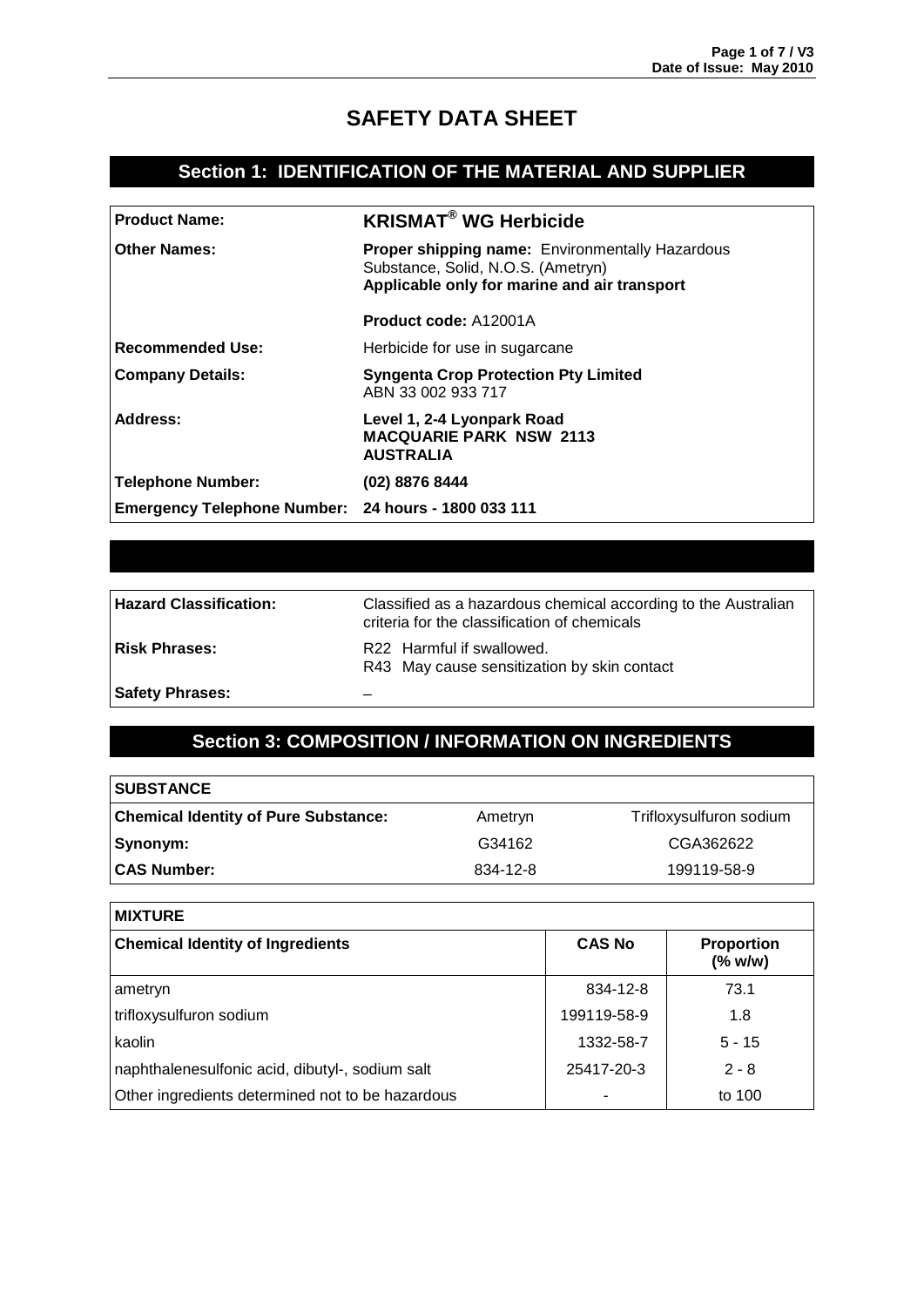# **SAFETY DATA SHEET**

## **Section 1: IDENTIFICATION OF THE MATERIAL AND SUPPLIER**

| <b>Product Name:</b>                                | <b>KRISMAT<sup>®</sup> WG Herbicide</b>                                                                                                      |
|-----------------------------------------------------|----------------------------------------------------------------------------------------------------------------------------------------------|
| <b>Other Names:</b>                                 | <b>Proper shipping name: Environmentally Hazardous</b><br>Substance, Solid, N.O.S. (Ametryn)<br>Applicable only for marine and air transport |
|                                                     | <b>Product code: A12001A</b>                                                                                                                 |
| Recommended Use:                                    | Herbicide for use in sugarcane                                                                                                               |
| <b>Company Details:</b>                             | <b>Syngenta Crop Protection Pty Limited</b><br>ABN 33 002 933 717                                                                            |
| Address:                                            | Level 1, 2-4 Lyonpark Road<br><b>MACQUARIE PARK NSW 2113</b><br><b>AUSTRALIA</b>                                                             |
| Telephone Number:                                   | (02) 8876 8444                                                                                                                               |
| Emergency Telephone Number: 24 hours - 1800 033 111 |                                                                                                                                              |

| <b>Hazard Classification:</b> | Classified as a hazardous chemical according to the Australian<br>criteria for the classification of chemicals |
|-------------------------------|----------------------------------------------------------------------------------------------------------------|
| <b>Risk Phrases:</b>          | R22 Harmful if swallowed.<br>R43 May cause sensitization by skin contact                                       |
| <b>Safety Phrases:</b>        |                                                                                                                |

# **Section 3: COMPOSITION / INFORMATION ON INGREDIENTS**

| <b>SUBSTANCE</b>                            |          |                         |
|---------------------------------------------|----------|-------------------------|
| <b>Chemical Identity of Pure Substance:</b> | Ametryn  | Trifloxysulfuron sodium |
| Synonym:                                    | G34162   | CGA362622               |
| <b>CAS Number:</b>                          | 834-12-8 | 199119-58-9             |

| <b>MIXTURE</b>                                   |               |                                   |
|--------------------------------------------------|---------------|-----------------------------------|
| <b>Chemical Identity of Ingredients</b>          | <b>CAS No</b> | <b>Proportion</b><br>$(%$ (% w/w) |
| ametryn                                          | 834-12-8      | 73.1                              |
| trifloxysulfuron sodium                          | 199119-58-9   | 1.8                               |
| kaolin                                           | 1332-58-7     | $5 - 15$                          |
| naphthalenesulfonic acid, dibutyl-, sodium salt  | 25417-20-3    | $2 - 8$                           |
| Other ingredients determined not to be hazardous |               | to 100                            |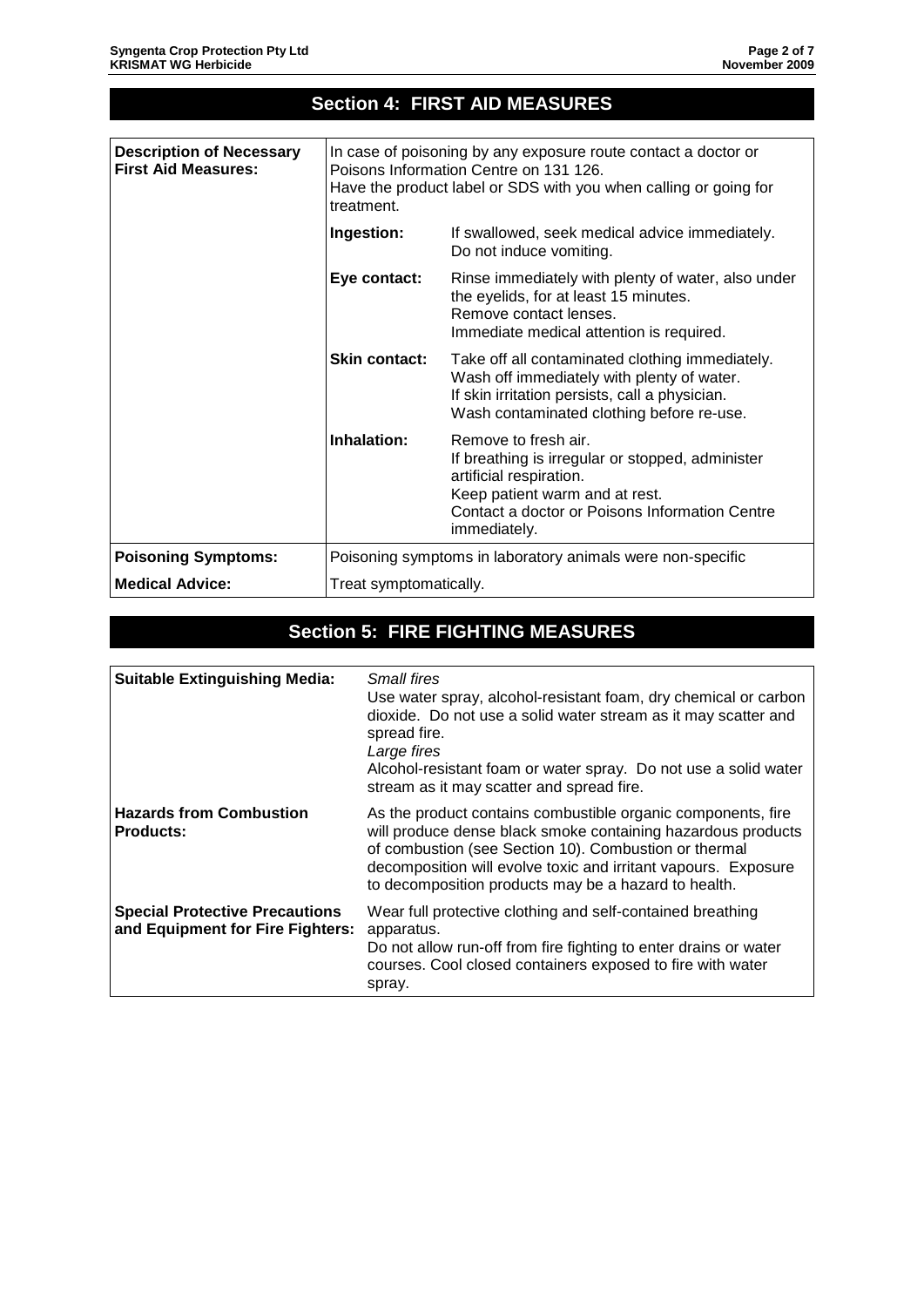| <b>Section 4: FIRST AID MEASURES</b>                          |                                                                                                                                                                                            |                                                                                                                                                                                                         |
|---------------------------------------------------------------|--------------------------------------------------------------------------------------------------------------------------------------------------------------------------------------------|---------------------------------------------------------------------------------------------------------------------------------------------------------------------------------------------------------|
|                                                               |                                                                                                                                                                                            |                                                                                                                                                                                                         |
| <b>Description of Necessary</b><br><b>First Aid Measures:</b> | In case of poisoning by any exposure route contact a doctor or<br>Poisons Information Centre on 131 126.<br>Have the product label or SDS with you when calling or going for<br>treatment. |                                                                                                                                                                                                         |
|                                                               | Ingestion:                                                                                                                                                                                 | If swallowed, seek medical advice immediately.<br>Do not induce vomiting.                                                                                                                               |
|                                                               | Eye contact:                                                                                                                                                                               | Rinse immediately with plenty of water, also under<br>the eyelids, for at least 15 minutes.<br>Remove contact lenses.<br>Immediate medical attention is required.                                       |
|                                                               | <b>Skin contact:</b>                                                                                                                                                                       | Take off all contaminated clothing immediately.<br>Wash off immediately with plenty of water.<br>If skin irritation persists, call a physician.<br>Wash contaminated clothing before re-use.            |
|                                                               | Inhalation:                                                                                                                                                                                | Remove to fresh air.<br>If breathing is irregular or stopped, administer<br>artificial respiration.<br>Keep patient warm and at rest.<br>Contact a doctor or Poisons Information Centre<br>immediately. |
| <b>Poisoning Symptoms:</b>                                    | Poisoning symptoms in laboratory animals were non-specific                                                                                                                                 |                                                                                                                                                                                                         |
| <b>Medical Advice:</b>                                        | Treat symptomatically.                                                                                                                                                                     |                                                                                                                                                                                                         |

# **Section 5: FIRE FIGHTING MEASURES**

| <b>Suitable Extinguishing Media:</b>                                      | <b>Small fires</b><br>Use water spray, alcohol-resistant foam, dry chemical or carbon<br>dioxide. Do not use a solid water stream as it may scatter and<br>spread fire.<br>Large fires<br>Alcohol-resistant foam or water spray. Do not use a solid water<br>stream as it may scatter and spread fire.          |
|---------------------------------------------------------------------------|-----------------------------------------------------------------------------------------------------------------------------------------------------------------------------------------------------------------------------------------------------------------------------------------------------------------|
| <b>Hazards from Combustion</b><br><b>Products:</b>                        | As the product contains combustible organic components, fire<br>will produce dense black smoke containing hazardous products<br>of combustion (see Section 10). Combustion or thermal<br>decomposition will evolve toxic and irritant vapours. Exposure<br>to decomposition products may be a hazard to health. |
| <b>Special Protective Precautions</b><br>and Equipment for Fire Fighters: | Wear full protective clothing and self-contained breathing<br>apparatus.<br>Do not allow run-off from fire fighting to enter drains or water<br>courses. Cool closed containers exposed to fire with water<br>spray.                                                                                            |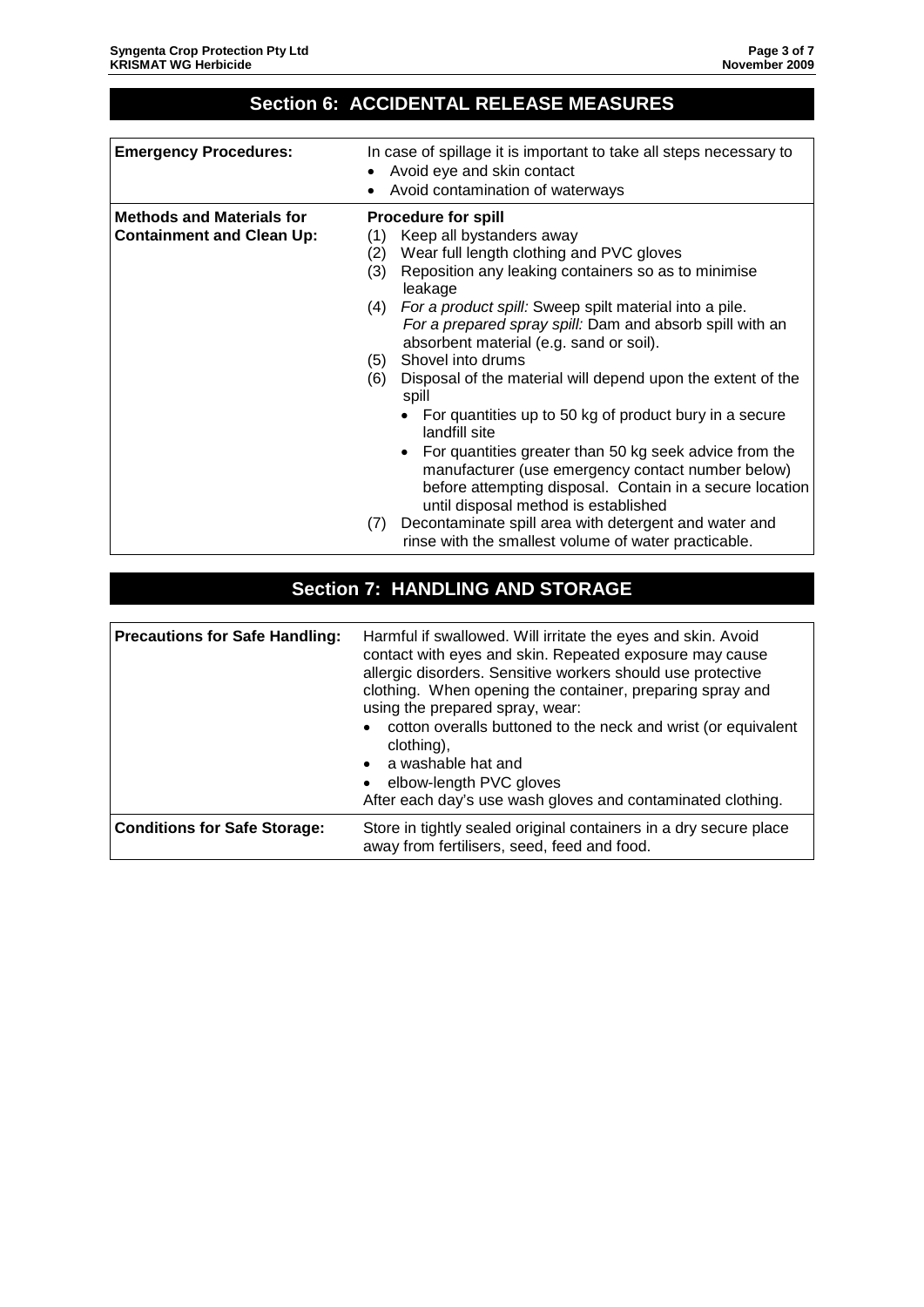# **Section 6: ACCIDENTAL RELEASE MEASURES**

| <b>Emergency Procedures:</b>                                         | In case of spillage it is important to take all steps necessary to<br>Avoid eye and skin contact<br>Avoid contamination of waterways                                                                                                                                                                                                                                                                                                                                                                                                                                                                                                                                                                                                                                                                                                                                                                   |
|----------------------------------------------------------------------|--------------------------------------------------------------------------------------------------------------------------------------------------------------------------------------------------------------------------------------------------------------------------------------------------------------------------------------------------------------------------------------------------------------------------------------------------------------------------------------------------------------------------------------------------------------------------------------------------------------------------------------------------------------------------------------------------------------------------------------------------------------------------------------------------------------------------------------------------------------------------------------------------------|
| <b>Methods and Materials for</b><br><b>Containment and Clean Up:</b> | <b>Procedure for spill</b><br>Keep all bystanders away<br>(1)<br>Wear full length clothing and PVC gloves<br>(2)<br>Reposition any leaking containers so as to minimise<br>(3)<br>leakage<br>For a product spill: Sweep spilt material into a pile.<br>(4)<br>For a prepared spray spill: Dam and absorb spill with an<br>absorbent material (e.g. sand or soil).<br>Shovel into drums<br>(5)<br>(6)<br>Disposal of the material will depend upon the extent of the<br>spill<br>• For quantities up to 50 kg of product bury in a secure<br>landfill site<br>• For quantities greater than 50 kg seek advice from the<br>manufacturer (use emergency contact number below)<br>before attempting disposal. Contain in a secure location<br>until disposal method is established<br>Decontaminate spill area with detergent and water and<br>(7)<br>rinse with the smallest volume of water practicable. |

## **Section 7: HANDLING AND STORAGE**

| <b>Precautions for Safe Handling:</b> | Harmful if swallowed. Will irritate the eyes and skin. Avoid<br>contact with eyes and skin. Repeated exposure may cause<br>allergic disorders. Sensitive workers should use protective<br>clothing. When opening the container, preparing spray and<br>using the prepared spray, wear:<br>cotton overalls buttoned to the neck and wrist (or equivalent<br>$\bullet$<br>clothing),<br>a washable hat and<br>$\bullet$<br>elbow-length PVC gloves<br>$\bullet$<br>After each day's use wash gloves and contaminated clothing. |
|---------------------------------------|------------------------------------------------------------------------------------------------------------------------------------------------------------------------------------------------------------------------------------------------------------------------------------------------------------------------------------------------------------------------------------------------------------------------------------------------------------------------------------------------------------------------------|
| <b>Conditions for Safe Storage:</b>   | Store in tightly sealed original containers in a dry secure place<br>away from fertilisers, seed, feed and food.                                                                                                                                                                                                                                                                                                                                                                                                             |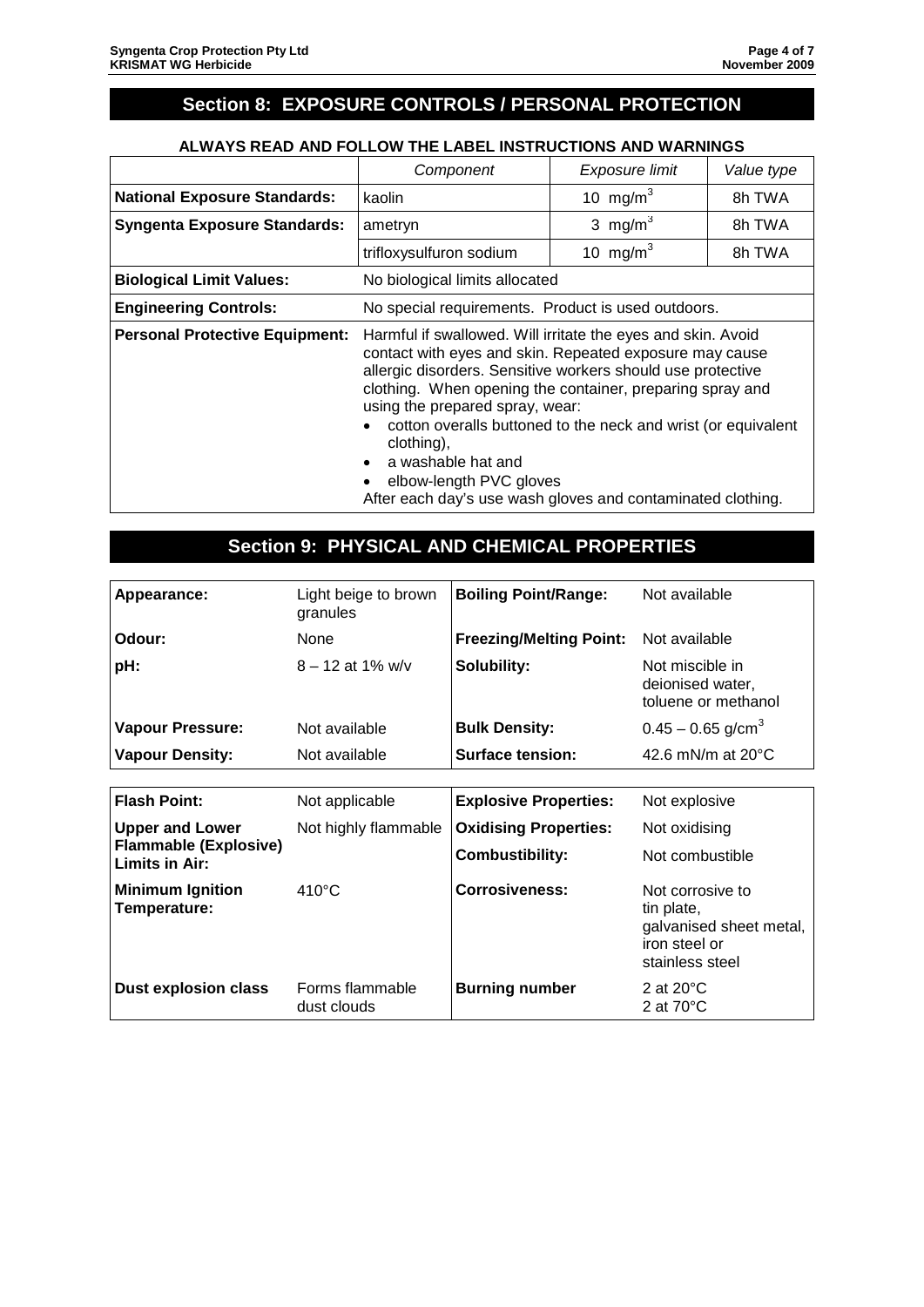## **Section 8: EXPOSURE CONTROLS / PERSONAL PROTECTION**

#### **ALWAYS READ AND FOLLOW THE LABEL INSTRUCTIONS AND WARNINGS**

|                                       | Component                                                                                                                                                                                                                                                                                                                                                                                                                                                                             | Exposure limit       | Value type |
|---------------------------------------|---------------------------------------------------------------------------------------------------------------------------------------------------------------------------------------------------------------------------------------------------------------------------------------------------------------------------------------------------------------------------------------------------------------------------------------------------------------------------------------|----------------------|------------|
| <b>National Exposure Standards:</b>   | kaolin                                                                                                                                                                                                                                                                                                                                                                                                                                                                                | 10 mg/m <sup>3</sup> | 8h TWA     |
| <b>Syngenta Exposure Standards:</b>   | ametryn                                                                                                                                                                                                                                                                                                                                                                                                                                                                               | 3 mg/m <sup>3</sup>  | 8h TWA     |
|                                       | trifloxysulfuron sodium                                                                                                                                                                                                                                                                                                                                                                                                                                                               | 10 mg/m $3$          | 8h TWA     |
| <b>Biological Limit Values:</b>       | No biological limits allocated                                                                                                                                                                                                                                                                                                                                                                                                                                                        |                      |            |
| <b>Engineering Controls:</b>          | No special requirements. Product is used outdoors.                                                                                                                                                                                                                                                                                                                                                                                                                                    |                      |            |
| <b>Personal Protective Equipment:</b> | Harmful if swallowed. Will irritate the eyes and skin. Avoid<br>contact with eyes and skin. Repeated exposure may cause<br>allergic disorders. Sensitive workers should use protective<br>clothing. When opening the container, preparing spray and<br>using the prepared spray, wear:<br>cotton overalls buttoned to the neck and wrist (or equivalent<br>clothing),<br>a washable hat and<br>elbow-length PVC gloves<br>After each day's use wash gloves and contaminated clothing. |                      |            |

## **Section 9: PHYSICAL AND CHEMICAL PROPERTIES**

| Appearance:                                    | Light beige to brown<br>granules | <b>Boiling Point/Range:</b>    | Not available                                                                                 |
|------------------------------------------------|----------------------------------|--------------------------------|-----------------------------------------------------------------------------------------------|
| Odour:                                         | None                             | <b>Freezing/Melting Point:</b> | Not available                                                                                 |
| pH:                                            | $8 - 12$ at 1% w/v               | Solubility:                    | Not miscible in<br>deionised water,<br>toluene or methanol                                    |
| <b>Vapour Pressure:</b>                        | Not available                    | <b>Bulk Density:</b>           | $0.45 - 0.65$ g/cm <sup>3</sup>                                                               |
| <b>Vapour Density:</b>                         | Not available                    | <b>Surface tension:</b>        | 42.6 mN/m at $20^{\circ}$ C                                                                   |
|                                                |                                  |                                |                                                                                               |
| <b>Flash Point:</b>                            | Not applicable                   | <b>Explosive Properties:</b>   | Not explosive                                                                                 |
| <b>Upper and Lower</b>                         | Not highly flammable             | <b>Oxidising Properties:</b>   | Not oxidising                                                                                 |
| <b>Flammable (Explosive)</b><br>Limits in Air: |                                  | <b>Combustibility:</b>         | Not combustible                                                                               |
| <b>Minimum Ignition</b><br>Temperature:        | $410^{\circ}$ C                  | <b>Corrosiveness:</b>          | Not corrosive to<br>tin plate,<br>galvanised sheet metal,<br>iron steel or<br>stainless steel |
| <b>Dust explosion class</b>                    | Forms flammable<br>dust clouds   | <b>Burning number</b>          | 2 at $20^{\circ}$ C<br>2 at $70^{\circ}$ C                                                    |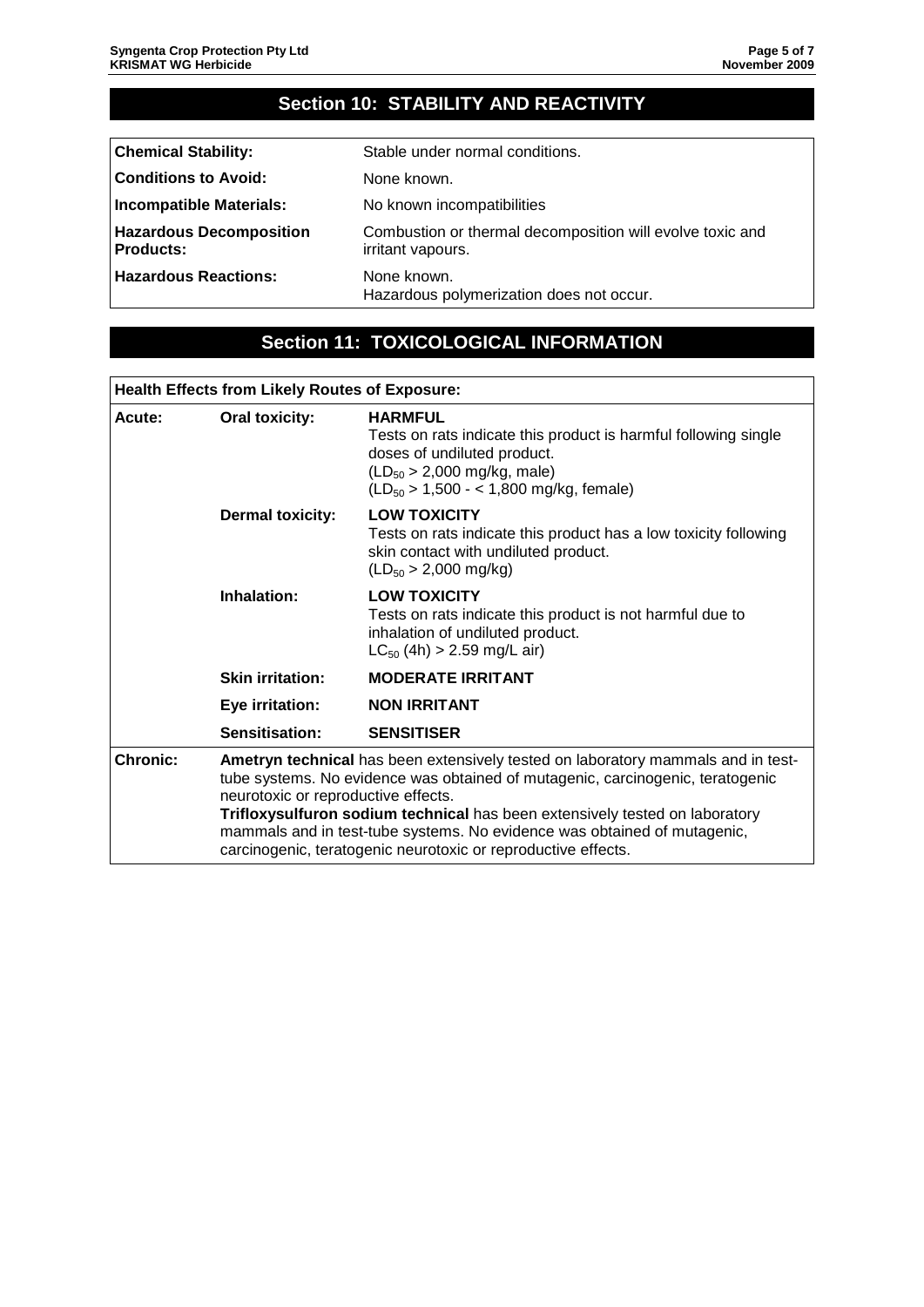# **Section 10: STABILITY AND REACTIVITY**

| <b>Chemical Stability:</b>                         | Stable under normal conditions.                                                |
|----------------------------------------------------|--------------------------------------------------------------------------------|
| <b>Conditions to Avoid:</b>                        | None known.                                                                    |
| <b>Incompatible Materials:</b>                     | No known incompatibilities                                                     |
| <b>Hazardous Decomposition</b><br><b>Products:</b> | Combustion or thermal decomposition will evolve toxic and<br>irritant vapours. |
| <b>Hazardous Reactions:</b>                        | None known.<br>Hazardous polymerization does not occur.                        |

#### **Section 11: TOXICOLOGICAL INFORMATION**

#### **Health Effects from Likely Routes of Exposure:**

| Acute:          | <b>Oral toxicity:</b>                                                                                                                                                                                                                                                                                                                                                                                                                 | <b>HARMFUL</b><br>Tests on rats indicate this product is harmful following single<br>doses of undiluted product.<br>$(LD_{50} > 2,000 \text{ mg/kg}, \text{male})$<br>$(LD_{50} > 1,500 - < 1,800$ mg/kg, female) |
|-----------------|---------------------------------------------------------------------------------------------------------------------------------------------------------------------------------------------------------------------------------------------------------------------------------------------------------------------------------------------------------------------------------------------------------------------------------------|-------------------------------------------------------------------------------------------------------------------------------------------------------------------------------------------------------------------|
|                 | <b>Dermal toxicity:</b>                                                                                                                                                                                                                                                                                                                                                                                                               | <b>LOW TOXICITY</b><br>Tests on rats indicate this product has a low toxicity following<br>skin contact with undiluted product.<br>$(LD_{50} > 2,000$ mg/kg)                                                      |
|                 | Inhalation:                                                                                                                                                                                                                                                                                                                                                                                                                           | <b>LOW TOXICITY</b><br>Tests on rats indicate this product is not harmful due to<br>inhalation of undiluted product.<br>$LC_{50}$ (4h) > 2.59 mg/L air)                                                           |
|                 | <b>Skin irritation:</b>                                                                                                                                                                                                                                                                                                                                                                                                               | <b>MODERATE IRRITANT</b>                                                                                                                                                                                          |
|                 | Eye irritation:                                                                                                                                                                                                                                                                                                                                                                                                                       | <b>NON IRRITANT</b>                                                                                                                                                                                               |
|                 | Sensitisation:                                                                                                                                                                                                                                                                                                                                                                                                                        | <b>SENSITISER</b>                                                                                                                                                                                                 |
| <b>Chronic:</b> | Ametryn technical has been extensively tested on laboratory mammals and in test-<br>tube systems. No evidence was obtained of mutagenic, carcinogenic, teratogenic<br>neurotoxic or reproductive effects.<br>Trifloxysulfuron sodium technical has been extensively tested on laboratory<br>mammals and in test-tube systems. No evidence was obtained of mutagenic,<br>carcinogenic, teratogenic neurotoxic or reproductive effects. |                                                                                                                                                                                                                   |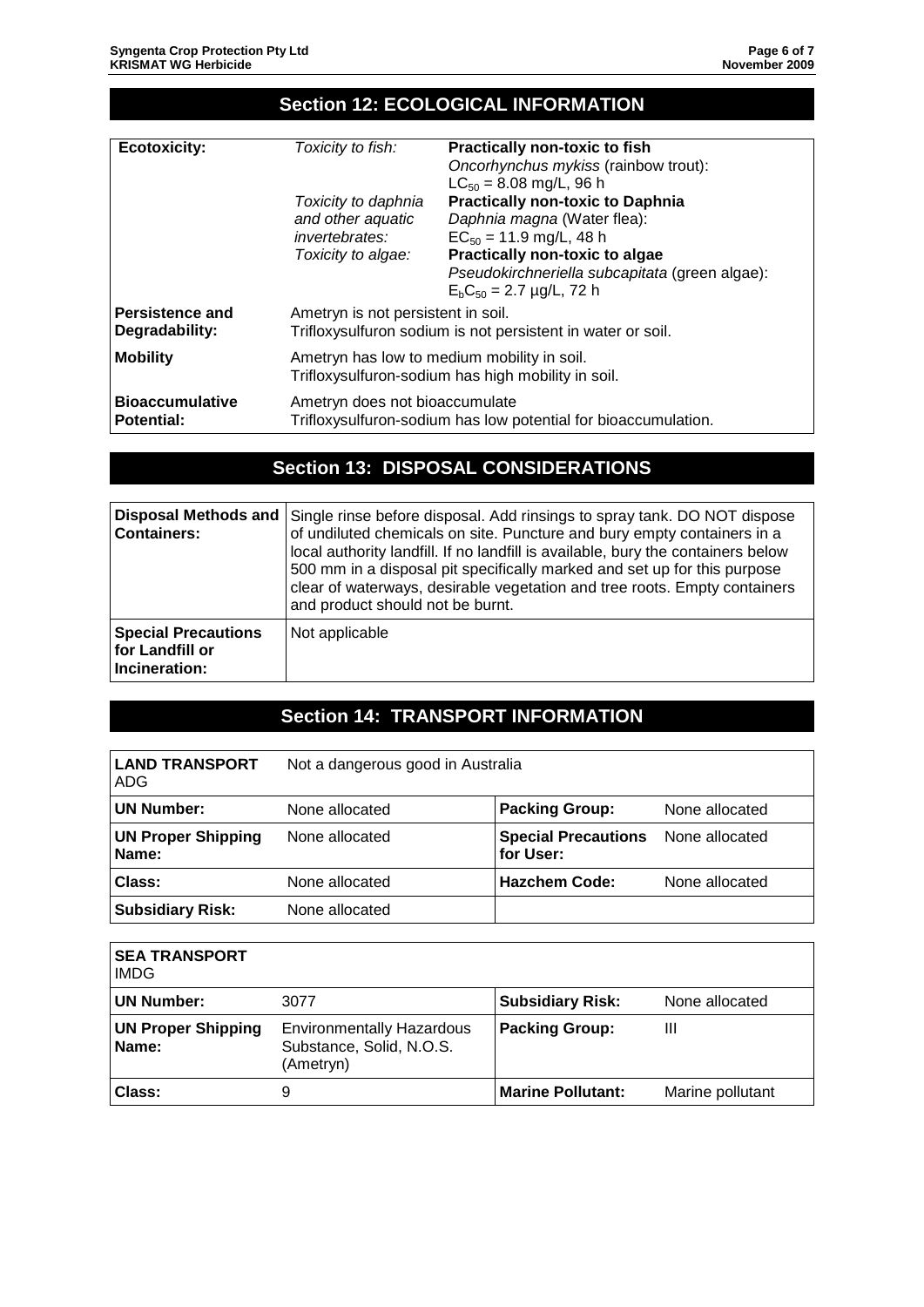## **Section 12: ECOLOGICAL INFORMATION**

| <b>Ecotoxicity:</b><br>Toxicity to fish: | <b>Practically non-toxic to fish</b>                           |  |  |
|------------------------------------------|----------------------------------------------------------------|--|--|
|                                          | Oncorhynchus mykiss (rainbow trout):                           |  |  |
|                                          | $LC_{50} = 8.08$ mg/L, 96 h                                    |  |  |
| Toxicity to daphnia                      | <b>Practically non-toxic to Daphnia</b>                        |  |  |
| and other aquatic                        | Daphnia magna (Water flea):                                    |  |  |
| <i>invertebrates:</i>                    | $EC_{50} = 11.9$ mg/L, 48 h                                    |  |  |
| Toxicity to algae:                       | Practically non-toxic to algae                                 |  |  |
|                                          | Pseudokirchneriella subcapitata (green algae):                 |  |  |
|                                          | $E_b C_{50} = 2.7 \mu g/L$ , 72 h                              |  |  |
| Persistence and                          | Ametryn is not persistent in soil.                             |  |  |
| Degradability:                           | Trifloxysulfuron sodium is not persistent in water or soil.    |  |  |
| <b>Mobility</b>                          | Ametryn has low to medium mobility in soil.                    |  |  |
|                                          | Trifloxysulfuron-sodium has high mobility in soil.             |  |  |
| <b>Bioaccumulative</b>                   | Ametryn does not bioaccumulate                                 |  |  |
| <b>Potential:</b>                        | Trifloxysulfuron-sodium has low potential for bioaccumulation. |  |  |

## **Section 13: DISPOSAL CONSIDERATIONS**

| Disposal Methods and<br><b>Containers:</b>                     | Single rinse before disposal. Add rinsings to spray tank. DO NOT dispose<br>of undiluted chemicals on site. Puncture and bury empty containers in a<br>local authority landfill. If no landfill is available, bury the containers below<br>500 mm in a disposal pit specifically marked and set up for this purpose<br>clear of waterways, desirable vegetation and tree roots. Empty containers<br>and product should not be burnt. |
|----------------------------------------------------------------|--------------------------------------------------------------------------------------------------------------------------------------------------------------------------------------------------------------------------------------------------------------------------------------------------------------------------------------------------------------------------------------------------------------------------------------|
| <b>Special Precautions</b><br>for Landfill or<br>Incineration: | Not applicable                                                                                                                                                                                                                                                                                                                                                                                                                       |

# **Section 14: TRANSPORT INFORMATION**

| <b>LAND TRANSPORT</b><br>ADG       | Not a dangerous good in Australia |                                         |                |
|------------------------------------|-----------------------------------|-----------------------------------------|----------------|
| <b>UN Number:</b>                  | None allocated                    | <b>Packing Group:</b>                   | None allocated |
| <b>UN Proper Shipping</b><br>Name: | None allocated                    | <b>Special Precautions</b><br>for User: | None allocated |
| Class:                             | None allocated                    | <b>Hazchem Code:</b>                    | None allocated |
| <b>Subsidiary Risk:</b>            | None allocated                    |                                         |                |

| <b>SEA TRANSPORT</b><br><b>IMDG</b> |                                                                           |                          |                  |
|-------------------------------------|---------------------------------------------------------------------------|--------------------------|------------------|
| UN Number:                          | 3077                                                                      | <b>Subsidiary Risk:</b>  | None allocated   |
| <b>UN Proper Shipping</b><br>Name:  | <b>Environmentally Hazardous</b><br>Substance, Solid, N.O.S.<br>(Ametryn) | <b>Packing Group:</b>    | Ш                |
| <b>Class:</b>                       | 9                                                                         | <b>Marine Pollutant:</b> | Marine pollutant |